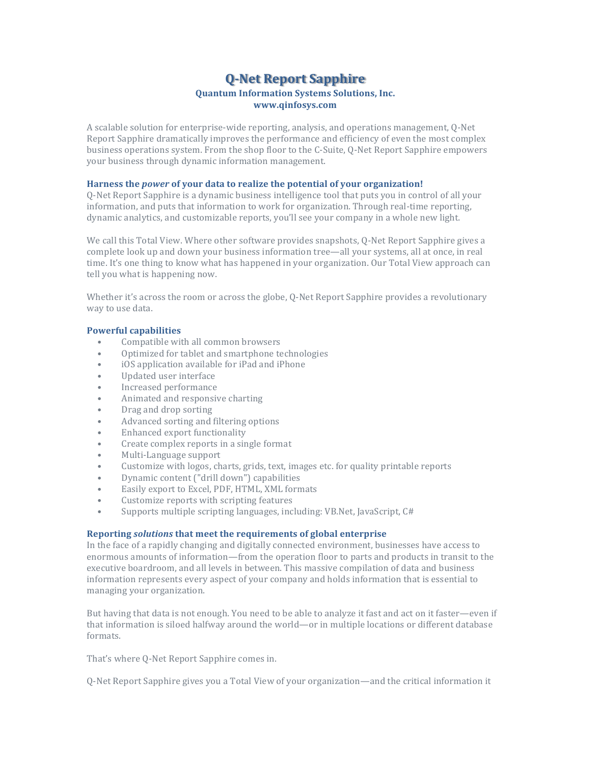# **Q-Net Report Sapphire**

# **Quantum Information Systems Solutions, Inc. www.qinfosys.com**

A scalable solution for enterprise-wide reporting, analysis, and operations management, O-Net Report Sapphire dramatically improves the performance and efficiency of even the most complex business operations system. From the shop floor to the C-Suite, O-Net Report Sapphire empowers your business through dynamic information management.

#### **Harness the** *power* **of your data to realize the potential of your organization!**

Q-Net Report Sapphire is a dynamic business intelligence tool that puts you in control of all your information, and puts that information to work for organization. Through real-time reporting, dynamic analytics, and customizable reports, you'll see your company in a whole new light.

We call this Total View. Where other software provides snapshots, Q-Net Report Sapphire gives a complete look up and down your business information tree—all your systems, all at once, in real time. It's one thing to know what has happened in your organization. Our Total View approach can tell you what is happening now.

Whether it's across the room or across the globe, Q-Net Report Sapphire provides a revolutionary way to use data.

# **Powerful capabilities**

- Compatible with all common browsers
- Optimized for tablet and smartphone technologies
- iOS application available for iPad and iPhone
- Updated user interface
- Increased performance
- Animated and responsive charting
- Drag and drop sorting
- Advanced sorting and filtering options
- Enhanced export functionality
- Create complex reports in a single format
- Multi-Language support
- Customize with logos, charts, grids, text, images etc. for quality printable reports
- Dynamic content ("drill down") capabilities
- Easily export to Excel, PDF, HTML, XML formats
- Customize reports with scripting features
- Supports multiple scripting languages, including: VB.Net, JavaScript, C#

## **Reporting** *solutions* **that meet the requirements of global enterprise**

In the face of a rapidly changing and digitally connected environment, businesses have access to enormous amounts of information—from the operation floor to parts and products in transit to the executive boardroom, and all levels in between. This massive compilation of data and business information represents every aspect of your company and holds information that is essential to managing your organization.

But having that data is not enough. You need to be able to analyze it fast and act on it faster—even if that information is siloed halfway around the world—or in multiple locations or different database formats.

That's where Q-Net Report Sapphire comes in.

Q-Net Report Sapphire gives you a Total View of your organization—and the critical information it